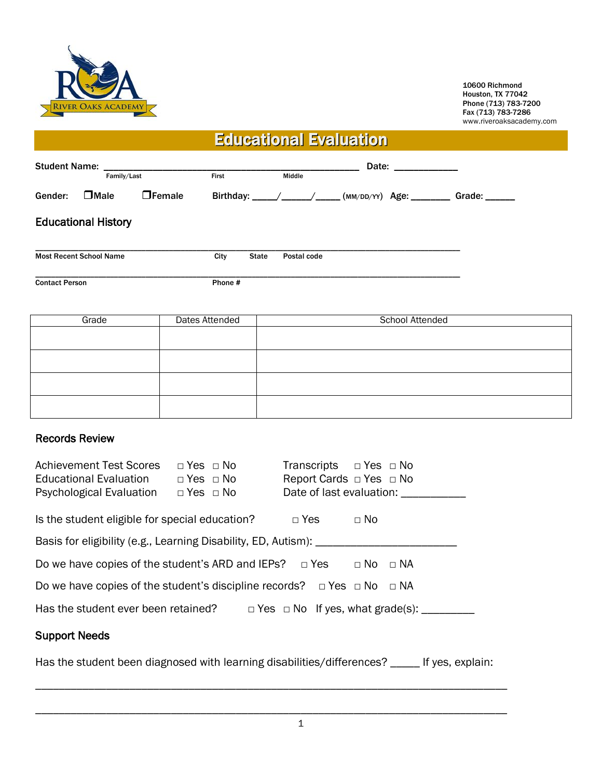

10600 Richmond Houston, TX 77042 Phone (713) 783-7200 Fax (713) 783-7286 www.riveroaksacademy.com

## Educational Evaluation

| <b>Student Name:</b>  |                                | Date: ______________ |         |              |             |  |                                                   |                      |  |  |
|-----------------------|--------------------------------|----------------------|---------|--------------|-------------|--|---------------------------------------------------|----------------------|--|--|
|                       |                                | Family/Last          |         |              | Middle      |  |                                                   |                      |  |  |
| Gender:               | $\Box$ Male                    | $\Box$ Female        |         |              |             |  | Birthday: ____/_____/_____(MM/DD/YY) Age: _______ | Grade: $\frac{1}{1}$ |  |  |
|                       | <b>Educational History</b>     |                      |         |              |             |  |                                                   |                      |  |  |
|                       | <b>Most Recent School Name</b> |                      | City    | <b>State</b> | Postal code |  |                                                   |                      |  |  |
| <b>Contact Person</b> |                                |                      | Phone # |              |             |  |                                                   |                      |  |  |

| Grade | Dates Attended | School Attended |  |  |  |
|-------|----------------|-----------------|--|--|--|
|       |                |                 |  |  |  |
|       |                |                 |  |  |  |
|       |                |                 |  |  |  |
|       |                |                 |  |  |  |

## Records Review

| <b>Achievement Test Scores</b><br>Educational Evaluation<br><b>Psychological Evaluation</b> | $\Box$ Yes $\Box$ No<br>$\Box$ Yes $\Box$ No<br>$\Box$ Yes $\Box$ No | Transcripts $\Box$ Yes $\Box$ No<br>Report Cards $\Box$ Yes $\Box$ No | Date of last evaluation:                            |  |  |
|---------------------------------------------------------------------------------------------|----------------------------------------------------------------------|-----------------------------------------------------------------------|-----------------------------------------------------|--|--|
| Is the student eligible for special education?                                              |                                                                      | $\Box$ Yes                                                            | $\Box$ No                                           |  |  |
| Basis for eligibility (e.g., Learning Disability, ED, Autism): _______                      |                                                                      |                                                                       |                                                     |  |  |
| Do we have copies of the student's ARD and IEPs? $\Box$ Yes<br>$\Box$ No<br>$\sqcap$ NA     |                                                                      |                                                                       |                                                     |  |  |
| Do we have copies of the student's discipline records? $\Box$ Yes $\Box$ No $\Box$ NA       |                                                                      |                                                                       |                                                     |  |  |
| Has the student ever been retained?                                                         |                                                                      |                                                                       | $\Box$ Yes $\Box$ No If yes, what grade(s): _______ |  |  |

## Support Needs

Has the student been diagnosed with learning disabilities/differences? \_\_\_\_\_ If yes, explain:

\_\_\_\_\_\_\_\_\_\_\_\_\_\_\_\_\_\_\_\_\_\_\_\_\_\_\_\_\_\_\_\_\_\_\_\_\_\_\_\_\_\_\_\_\_\_\_\_\_\_\_\_\_\_\_\_\_\_\_\_\_\_\_\_\_\_\_\_\_\_\_\_\_\_\_\_\_\_\_\_

\_\_\_\_\_\_\_\_\_\_\_\_\_\_\_\_\_\_\_\_\_\_\_\_\_\_\_\_\_\_\_\_\_\_\_\_\_\_\_\_\_\_\_\_\_\_\_\_\_\_\_\_\_\_\_\_\_\_\_\_\_\_\_\_\_\_\_\_\_\_\_\_\_\_\_\_\_\_\_\_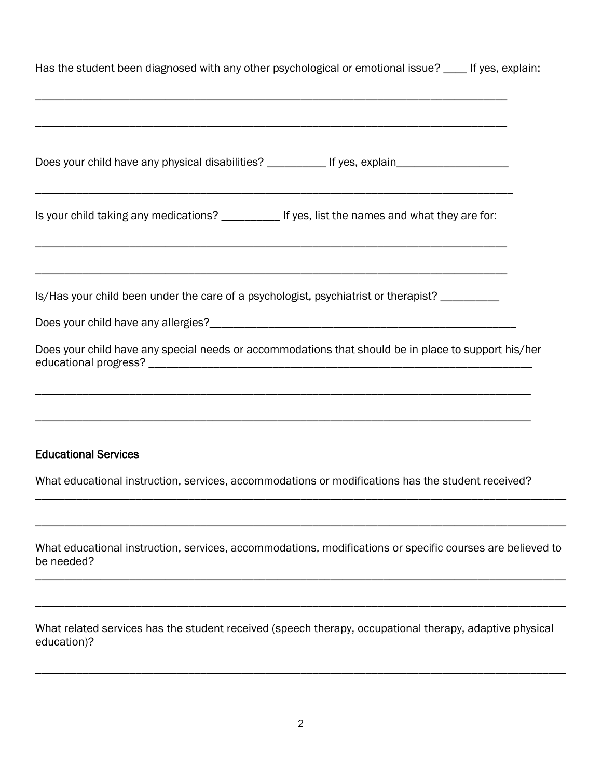| Has the student been diagnosed with any other psychological or emotional issue? ____ If yes, explain:                   |
|-------------------------------------------------------------------------------------------------------------------------|
|                                                                                                                         |
| Does your child have any physical disabilities? ____________ If yes, explain_______________________                     |
| Is your child taking any medications? ____________ If yes, list the names and what they are for:                        |
|                                                                                                                         |
| Is/Has your child been under the care of a psychologist, psychiatrist or therapist? _________                           |
| Does your child have any special needs or accommodations that should be in place to support his/her                     |
|                                                                                                                         |
| <b>Educational Services</b>                                                                                             |
| What educational instruction, services, accommodations or modifications has the student received?                       |
|                                                                                                                         |
| What educational instruction, services, accommodations, modifications or specific courses are believed to<br>be needed? |
|                                                                                                                         |
|                                                                                                                         |

What related services has the student received (speech therapy, occupational therapy, adaptive physical education)?

\_\_\_\_\_\_\_\_\_\_\_\_\_\_\_\_\_\_\_\_\_\_\_\_\_\_\_\_\_\_\_\_\_\_\_\_\_\_\_\_\_\_\_\_\_\_\_\_\_\_\_\_\_\_\_\_\_\_\_\_\_\_\_\_\_\_\_\_\_\_\_\_\_\_\_\_\_\_\_\_\_\_\_\_\_\_\_\_\_\_